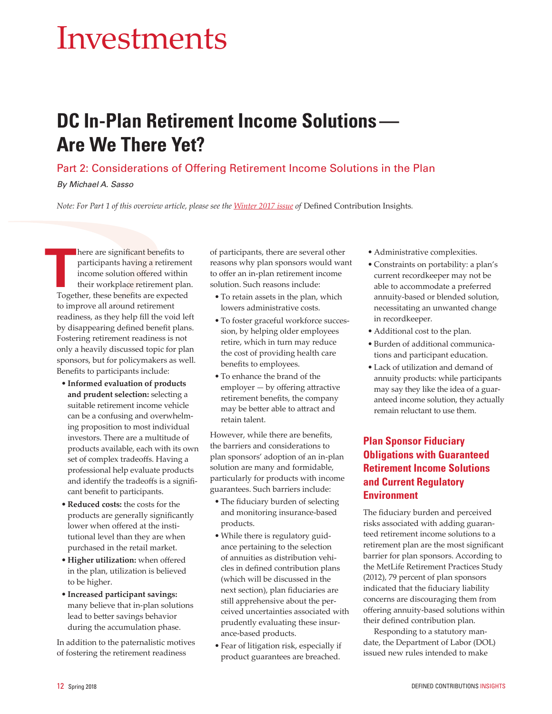# Investments

# **DC In-Plan Retirement Income Solutions — Are We There Yet?**

### Part 2: Considerations of Offering Retirement Income Solutions in the Plan

*By Michael A. Sasso*

*Note: For Part 1 of this overview article, please see the [Winter 2017 issue](https://www.psca.org/insights-magazines) of* Defined Contribution Insights*.*

here are significant benefits to participants having a retirement income solution offered within their workplace retirement plan. Together, these benefits are expected to improve all around retirement readiness, as they help fill the void left by disappearing defined benefit plans. Fostering retirement readiness is not only a heavily discussed topic for plan sponsors, but for policymakers as well. Benefits to participants include: **T**<br>Toget

- **Informed evaluation of products and prudent selection:** selecting a suitable retirement income vehicle can be a confusing and overwhelming proposition to most individual investors. There are a multitude of products available, each with its own set of complex tradeoffs. Having a professional help evaluate products and identify the tradeoffs is a significant benefit to participants.
- **Reduced costs:** the costs for the products are generally significantly lower when offered at the institutional level than they are when purchased in the retail market.
- **Higher utilization:** when offered in the plan, utilization is believed to be higher.
- **Increased participant savings:** many believe that in-plan solutions lead to better savings behavior during the accumulation phase.

In addition to the paternalistic motives of fostering the retirement readiness

of participants, there are several other reasons why plan sponsors would want to offer an in-plan retirement income solution. Such reasons include:

- To retain assets in the plan, which lowers administrative costs.
- To foster graceful workforce succession, by helping older employees retire, which in turn may reduce the cost of providing health care benefits to employees.
- To enhance the brand of the employer — by offering attractive retirement benefits, the company may be better able to attract and retain talent.

However, while there are benefits, the barriers and considerations to plan sponsors' adoption of an in-plan solution are many and formidable, particularly for products with income guarantees. Such barriers include:

- The fiduciary burden of selecting and monitoring insurance-based products.
- While there is regulatory guidance pertaining to the selection of annuities as distribution vehicles in defined contribution plans (which will be discussed in the next section), plan fiduciaries are still apprehensive about the perceived uncertainties associated with prudently evaluating these insurance-based products.
- Fear of litigation risk, especially if product guarantees are breached.
- Administrative complexities.
- Constraints on portability: a plan's current recordkeeper may not be able to accommodate a preferred annuity-based or blended solution, necessitating an unwanted change in recordkeeper.
- Additional cost to the plan.
- Burden of additional communications and participant education.
- Lack of utilization and demand of annuity products: while participants may say they like the idea of a guaranteed income solution, they actually remain reluctant to use them.

## **Plan Sponsor Fiduciary Obligations with Guaranteed Retirement Income Solutions and Current Regulatory Environment**

The fiduciary burden and perceived risks associated with adding guaranteed retirement income solutions to a retirement plan are the most significant barrier for plan sponsors. According to the MetLife Retirement Practices Study (2012), 79 percent of plan sponsors indicated that the fiduciary liability concerns are discouraging them from offering annuity-based solutions within their defined contribution plan.

Responding to a statutory mandate, the Department of Labor (DOL) issued new rules intended to make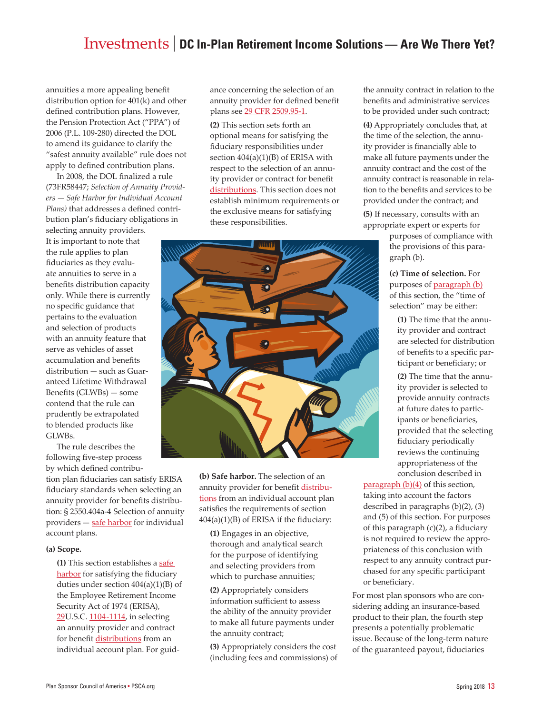annuities a more appealing benefit distribution option for 401(k) and other defined contribution plans. However, the Pension Protection Act ("PPA") of 2006 (P.L. 109-280) directed the DOL to amend its guidance to clarify the "safest annuity available" rule does not apply to defined contribution plans.

In 2008, the DOL finalized a rule (73FR58447; *Selection of Annuity Providers — Safe Harbor for Individual Account Plans)* that addresses a defined contribution plan's fiduciary obligations in

selecting annuity providers. It is important to note that the rule applies to plan fiduciaries as they evaluate annuities to serve in a benefits distribution capacity only. While there is currently no specific guidance that pertains to the evaluation and selection of products with an annuity feature that serve as vehicles of asset accumulation and benefits distribution — such as Guaranteed Lifetime Withdrawal Benefits (GLWBs) — some contend that the rule can prudently be extrapolated to blended products like GLWBs.

The rule describes the following five-step process by which defined contribu-

tion plan fiduciaries can satisfy ERISA fiduciary standards when selecting an annuity provider for benefits distribution: § 2550.404a-4 Selection of annuity providers - safe harbor for individual account plans.

#### **(a) Scope.**

**(1)** This section establishes a [safe](https://www.law.cornell.edu/definitions/index.php?width=840&height=800&iframe=true&def_id=bbf38bff6beb9e26e3fd312cfcfbbbab&term_occur=2&term_src=Title:29:Subtitle:B:Chapter:XXV:Subchapter:F:Part:2550:2550.404a-4) [harbor](https://www.law.cornell.edu/definitions/index.php?width=840&height=800&iframe=true&def_id=bbf38bff6beb9e26e3fd312cfcfbbbab&term_occur=2&term_src=Title:29:Subtitle:B:Chapter:XXV:Subchapter:F:Part:2550:2550.404a-4) for satisfying the fiduciary duties under section  $404(a)(1)(B)$  of the Employee Retirement Income Security Act of 1974 (ERISA), [29U](https://www.law.cornell.edu/uscode/text/29/).S.C. [1104-1114,](https://www.law.cornell.edu/uscode/text/29/1104) in selecting an annuity provider and contract for benefit [distributions](https://www.law.cornell.edu/definitions/index.php?width=840&height=800&iframe=true&def_id=0e57e77612d0737dc7d7e622f269f83d&term_occur=1&term_src=Title:29:Subtitle:B:Chapter:XXV:Subchapter:F:Part:2550:2550.404a-4) from an individual account plan. For guidance concerning the selection of an annuity provider for defined benefit plans see [29 CFR 2509.95-1.](https://www.law.cornell.edu/cfr/text/29/2509.95-1)

**(2)** This section sets forth an optional means for satisfying the fiduciary responsibilities under section 404(a)(1)(B) of ERISA with respect to the selection of an annuity provider or contract for benefit [distributions.](https://www.law.cornell.edu/definitions/index.php?width=840&height=800&iframe=true&def_id=0e57e77612d0737dc7d7e622f269f83d&term_occur=2&term_src=Title:29:Subtitle:B:Chapter:XXV:Subchapter:F:Part:2550:2550.404a-4) This section does not establish minimum requirements or the exclusive means for satisfying these responsibilities.



**(b) Safe harbor.** The selection of an annuity provider for benefi[t distribu](https://www.law.cornell.edu/definitions/index.php?width=840&height=800&iframe=true&def_id=0e57e77612d0737dc7d7e622f269f83d&term_occur=2&term_src=Title:29:Subtitle:B:Chapter:XXV:Subchapter:F:Part:2550:2550.404a-4)[tions f](https://www.law.cornell.edu/definitions/index.php?width=840&height=800&iframe=true&def_id=0e57e77612d0737dc7d7e622f269f83d&term_occur=2&term_src=Title:29:Subtitle:B:Chapter:XXV:Subchapter:F:Part:2550:2550.404a-4)rom an individual account plan satisfies the requirements of section 404(a)(1)(B) of ERISA if the fiduciary:

**(1)** Engages in an objective, thorough and analytical search for the purpose of identifying and selecting providers from which to purchase annuities;

**(2)** Appropriately considers information sufficient to assess the ability of the annuity provider to make all future payments under the annuity contract;

**(3)** Appropriately considers the cost (including fees and commissions) of

the annuity contract in relation to the benefits and administrative services to be provided under such contract;

**(4)** Appropriately concludes that, at the time of the selection, the annuity provider is financially able to make all future payments under the annuity contract and the cost of the annuity contract is reasonable in relation to the benefits and services to be provided under the contract; and

**(5)** If necessary, consults with an appropriate expert or experts for

> purposes of compliance with the provisions of this paragraph (b).

**(c) Time of selection.** For purposes of **paragraph** (b) of this section, the "time of selection" may be either:

**(1)** The time that the annuity provider and contract are selected for distribution of benefits to a specific participant or beneficiary; or

**(2)** The time that the annuity provider is selected to provide annuity contracts at future dates to participants or beneficiaries, provided that the selecting fiduciary periodically reviews the continuing appropriateness of the conclusion described in

[paragraph \(b\)\(4\)](https://www.law.cornell.edu/cfr/text/29/2550.404a-4#b_4) of this section, taking into account the factors described in paragraphs (b)(2), (3) and (5) of this section. For purposes of this paragraph  $(c)(2)$ , a fiduciary is not required to review the appropriateness of this conclusion with respect to any annuity contract purchased for any specific participant or beneficiary.

For most plan sponsors who are considering adding an insurance-based product to their plan, the fourth step presents a potentially problematic issue. Because of the long-term nature of the guaranteed payout, fiduciaries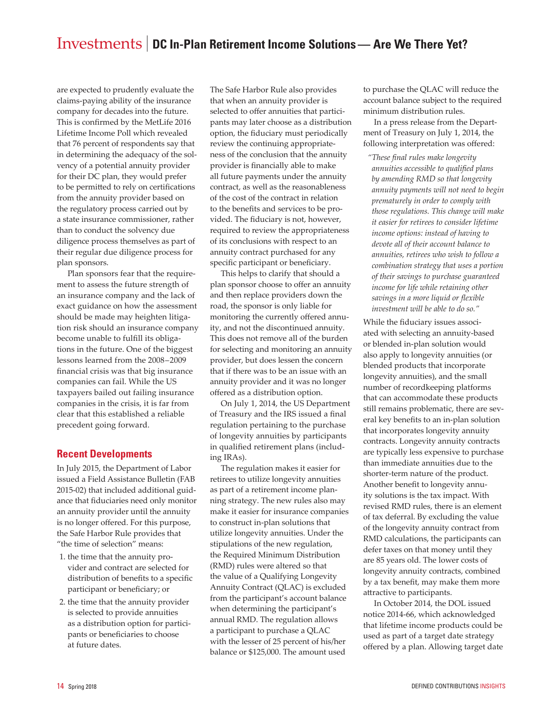are expected to prudently evaluate the claims-paying ability of the insurance company for decades into the future. This is confirmed by the MetLife 2016 Lifetime Income Poll which revealed that 76 percent of respondents say that in determining the adequacy of the solvency of a potential annuity provider for their DC plan, they would prefer to be permitted to rely on certifications from the annuity provider based on the regulatory process carried out by a state insurance commissioner, rather than to conduct the solvency due diligence process themselves as part of their regular due diligence process for plan sponsors.

Plan sponsors fear that the requirement to assess the future strength of an insurance company and the lack of exact guidance on how the assessment should be made may heighten litigation risk should an insurance company become unable to fulfill its obligations in the future. One of the biggest lessons learned from the 2008–2009 financial crisis was that big insurance companies can fail. While the US taxpayers bailed out failing insurance companies in the crisis, it is far from clear that this established a reliable precedent going forward.

#### **Recent Developments**

In July 2015, the Department of Labor issued a Field Assistance Bulletin (FAB 2015-02) that included additional guidance that fiduciaries need only monitor an annuity provider until the annuity is no longer offered. For this purpose, the Safe Harbor Rule provides that "the time of selection" means:

- 1. the time that the annuity provider and contract are selected for distribution of benefits to a specific participant or beneficiary; or
- 2. the time that the annuity provider is selected to provide annuities as a distribution option for participants or beneficiaries to choose at future dates.

The Safe Harbor Rule also provides that when an annuity provider is selected to offer annuities that participants may later choose as a distribution option, the fiduciary must periodically review the continuing appropriateness of the conclusion that the annuity provider is financially able to make all future payments under the annuity contract, as well as the reasonableness of the cost of the contract in relation to the benefits and services to be provided. The fiduciary is not, however, required to review the appropriateness of its conclusions with respect to an annuity contract purchased for any specific participant or beneficiary.

This helps to clarify that should a plan sponsor choose to offer an annuity and then replace providers down the road, the sponsor is only liable for monitoring the currently offered annuity, and not the discontinued annuity. This does not remove all of the burden for selecting and monitoring an annuity provider, but does lessen the concern that if there was to be an issue with an annuity provider and it was no longer offered as a distribution option.

On July 1, 2014, the US Department of Treasury and the IRS issued a final regulation pertaining to the purchase of longevity annuities by participants in qualified retirement plans (including IRAs).

The regulation makes it easier for retirees to utilize longevity annuities as part of a retirement income planning strategy. The new rules also may make it easier for insurance companies to construct in-plan solutions that utilize longevity annuities. Under the stipulations of the new regulation, the Required Minimum Distribution (RMD) rules were altered so that the value of a Qualifying Longevity Annuity Contract (QLAC) is excluded from the participant's account balance when determining the participant's annual RMD. The regulation allows a participant to purchase a QLAC with the lesser of 25 percent of his/her balance or \$125,000. The amount used

to purchase the QLAC will reduce the account balance subject to the required minimum distribution rules.

In a press release from the Department of Treasury on July 1, 2014, the following interpretation was offered:

*"These final rules make longevity annuities accessible to qualified plans by amending RMD so that longevity annuity payments will not need to begin prematurely in order to comply with those regulations. This change will make it easier for retirees to consider lifetime income options: instead of having to devote all of their account balance to annuities, retirees who wish to follow a combination strategy that uses a portion of their savings to purchase guaranteed income for life while retaining other savings in a more liquid or flexible investment will be able to do so."*

While the fiduciary issues associated with selecting an annuity-based or blended in-plan solution would also apply to longevity annuities (or blended products that incorporate longevity annuities), and the small number of recordkeeping platforms that can accommodate these products still remains problematic, there are several key benefits to an in-plan solution that incorporates longevity annuity contracts. Longevity annuity contracts are typically less expensive to purchase than immediate annuities due to the shorter-term nature of the product. Another benefit to longevity annuity solutions is the tax impact. With revised RMD rules, there is an element of tax deferral. By excluding the value of the longevity annuity contract from RMD calculations, the participants can defer taxes on that money until they are 85 years old. The lower costs of longevity annuity contracts, combined by a tax benefit, may make them more attractive to participants.

In October 2014, the DOL issued notice 2014-66, which acknowledged that lifetime income products could be used as part of a target date strategy offered by a plan. Allowing target date